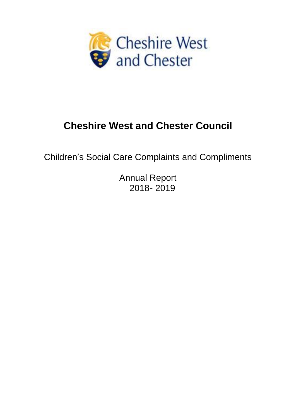

# **Cheshire West and Chester Council**

Children's Social Care Complaints and Compliments

Annual Report 2018- 2019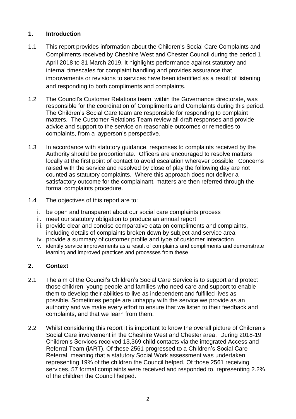# **1. Introduction**

- 1.1 This report provides information about the Children's Social Care Complaints and Compliments received by Cheshire West and Chester Council during the period 1 April 2018 to 31 March 2019. It highlights performance against statutory and internal timescales for complaint handling and provides assurance that improvements or revisions to services have been identified as a result of listening and responding to both compliments and complaints.
- 1.2 The Council's Customer Relations team, within the Governance directorate, was responsible for the coordination of Compliments and Complaints during this period. The Children's Social Care team are responsible for responding to complaint matters. The Customer Relations Team review all draft responses and provide advice and support to the service on reasonable outcomes or remedies to complaints, from a layperson's perspective.
- 1.3 In accordance with statutory guidance, responses to complaints received by the Authority should be proportionate. Officers are encouraged to resolve matters locally at the first point of contact to avoid escalation wherever possible. Concerns raised with the service and resolved by close of play the following day are not counted as statutory complaints. Where this approach does not deliver a satisfactory outcome for the complainant, matters are then referred through the formal complaints procedure.
- 1.4 The objectives of this report are to:
	- i. be open and transparent about our social care complaints process
	- ii. meet our statutory obligation to produce an annual report
	- iii. provide clear and concise comparative data on compliments and complaints, including details of complaints broken down by subject and service area
	- iv. provide a summary of customer profile and type of customer interaction
	- v. identify service improvements as a result of complaints and compliments and demonstrate learning and improved practices and processes from these

## **2. Context**

- 2.1 The aim of the Council's Children's Social Care Service is to support and protect those children, young people and families who need care and support to enable them to develop their abilities to live as independent and fulfilled lives as possible. Sometimes people are unhappy with the service we provide as an authority and we make every effort to ensure that we listen to their feedback and complaints, and that we learn from them.
- 2.2 Whilst considering this report it is important to know the overall picture of Children's Social Care involvement in the Cheshire West and Chester area. During 2018-19 Children's Services received 13,369 child contacts via the integrated Access and Referral Team (iART). Of these 2561 progressed to a Children's Social Care Referral, meaning that a statutory Social Work assessment was undertaken representing 19% of the children the Council helped. Of those 2561 receiving services, 57 formal complaints were received and responded to, representing 2.2% of the children the Council helped.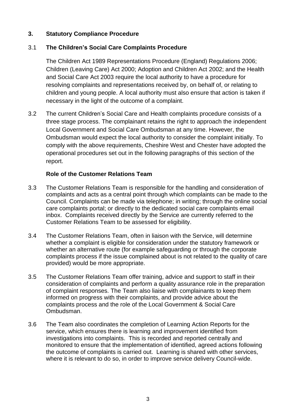## **3. Statutory Compliance Procedure**

# 3.1 **The Children's Social Care Complaints Procedure**

The Children Act 1989 Representations Procedure (England) Regulations 2006; Children (Leaving Care) Act 2000; Adoption and Children Act 2002; and the Health and Social Care Act 2003 require the local authority to have a procedure for resolving complaints and representations received by, on behalf of, or relating to children and young people. A local authority must also ensure that action is taken if necessary in the light of the outcome of a complaint.

3.2 The current Children's Social Care and Health complaints procedure consists of a three stage process. The complainant retains the right to approach the independent Local Government and Social Care Ombudsman at any time. However, the Ombudsman would expect the local authority to consider the complaint initially. To comply with the above requirements, Cheshire West and Chester have adopted the operational procedures set out in the following paragraphs of this section of the report.

## **Role of the Customer Relations Team**

- 3.3 The Customer Relations Team is responsible for the handling and consideration of complaints and acts as a central point through which complaints can be made to the Council. Complaints can be made via telephone; in writing; through the online social care complaints portal; or directly to the dedicated social care complaints email inbox. Complaints received directly by the Service are currently referred to the Customer Relations Team to be assessed for eligibility.
- 3.4 The Customer Relations Team, often in liaison with the Service, will determine whether a complaint is eligible for consideration under the statutory framework or whether an alternative route (for example safeguarding or through the corporate complaints process if the issue complained about is not related to the quality of care provided) would be more appropriate.
- 3.5 The Customer Relations Team offer training, advice and support to staff in their consideration of complaints and perform a quality assurance role in the preparation of complaint responses. The Team also liaise with complainants to keep them informed on progress with their complaints, and provide advice about the complaints process and the role of the Local Government & Social Care Ombudsman.
- 3.6 The Team also coordinates the completion of Learning Action Reports for the service, which ensures there is learning and improvement identified from investigations into complaints. This is recorded and reported centrally and monitored to ensure that the implementation of identified, agreed actions following the outcome of complaints is carried out. Learning is shared with other services, where it is relevant to do so, in order to improve service delivery Council-wide.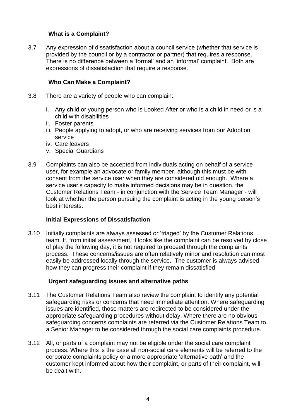## **What is a Complaint?**

3.7 Any expression of dissatisfaction about a council service (whether that service is provided by the council or by a contractor or partner) that requires a response. There is no difference between a 'formal' and an 'informal' complaint. Both are expressions of dissatisfaction that require a response.

## **Who Can Make a Complaint?**

- 3.8 There are a variety of people who can complain:
	- i. Any child or young person who is Looked After or who is a child in need or is a child with disabilities
	- ii. Foster parents
	- iii. People applying to adopt, or who are receiving services from our Adoption service
	- iv. Care leavers
	- v. Special Guardians
- 3.9 Complaints can also be accepted from individuals acting on behalf of a service user, for example an advocate or family member, although this must be with consent from the service user when they are considered old enough. Where a service user's capacity to make informed decisions may be in question, the Customer Relations Team - in conjunction with the Service Team Manager - will look at whether the person pursuing the complaint is acting in the young person's best interests.

#### **Initial Expressions of Dissatisfaction**

3.10 Initially complaints are always assessed or 'triaged' by the Customer Relations team. If, from initial assessment, it looks like the complaint can be resolved by close of play the following day, it is not required to proceed through the complaints process. These concerns/issues are often relatively minor and resolution can most easily be addressed locally through the service. The customer is always advised how they can progress their complaint if they remain dissatisfied

#### **Urgent safeguarding issues and alternative paths**

- 3.11 The Customer Relations Team also review the complaint to identify any potential safeguarding risks or concerns that need immediate attention. Where safeguarding issues are identified, those matters are redirected to be considered under the appropriate safeguarding procedures without delay. Where there are no obvious safeguarding concerns complaints are referred via the Customer Relations Team to a Senior Manager to be considered through the social care complaints procedure.
- 3.12 All, or parts of a complaint may not be eligible under the social care complaint process. Where this is the case all non-social care elements will be referred to the corporate complaints policy or a more appropriate 'alternative path' and the customer kept informed about how their complaint, or parts of their complaint, will be dealt with.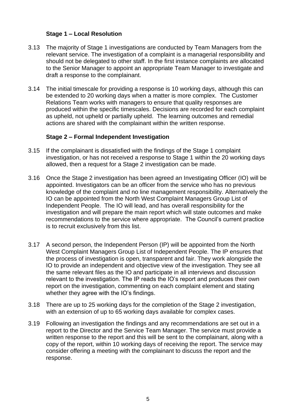## **Stage 1 – Local Resolution**

- 3.13 The majority of Stage 1 investigations are conducted by Team Managers from the relevant service. The investigation of a complaint is a managerial responsibility and should not be delegated to other staff. In the first instance complaints are allocated to the Senior Manager to appoint an appropriate Team Manager to investigate and draft a response to the complainant.
- 3.14 The initial timescale for providing a response is 10 working days, although this can be extended to 20 working days when a matter is more complex. The Customer Relations Team works with managers to ensure that quality responses are produced within the specific timescales. Decisions are recorded for each complaint as upheld, not upheld or partially upheld. The learning outcomes and remedial actions are shared with the complainant within the written response.

#### **Stage 2 – Formal Independent Investigation**

- 3.15 If the complainant is dissatisfied with the findings of the Stage 1 complaint investigation, or has not received a response to Stage 1 within the 20 working days allowed, then a request for a Stage 2 investigation can be made.
- 3.16 Once the Stage 2 investigation has been agreed an Investigating Officer (IO) will be appointed. Investigators can be an officer from the service who has no previous knowledge of the complaint and no line management responsibility. Alternatively the IO can be appointed from the North West Complaint Managers Group List of Independent People. The IO will lead, and has overall responsibility for the investigation and will prepare the main report which will state outcomes and make recommendations to the service where appropriate. The Council's current practice is to recruit exclusively from this list.
- 3.17 A second person, the Independent Person (IP) will be appointed from the North West Complaint Managers Group List of Independent People. The IP ensures that the process of investigation is open, transparent and fair. They work alongside the IO to provide an independent and objective view of the investigation. They see all the same relevant files as the IO and participate in all interviews and discussion relevant to the investigation. The IP reads the IO's report and produces their own report on the investigation, commenting on each complaint element and stating whether they agree with the IO's findings.
- 3.18 There are up to 25 working days for the completion of the Stage 2 investigation, with an extension of up to 65 working days available for complex cases.
- 3.19 Following an investigation the findings and any recommendations are set out in a report to the Director and the Service Team Manager. The service must provide a written response to the report and this will be sent to the complainant, along with a copy of the report, within 10 working days of receiving the report. The service may consider offering a meeting with the complainant to discuss the report and the response.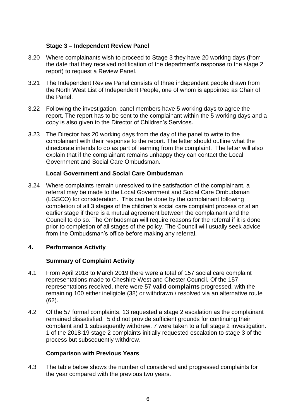## **Stage 3 – Independent Review Panel**

- 3.20 Where complainants wish to proceed to Stage 3 they have 20 working days (from the date that they received notification of the department's response to the stage 2 report) to request a Review Panel.
- 3.21 The Independent Review Panel consists of three independent people drawn from the North West List of Independent People, one of whom is appointed as Chair of the Panel.
- 3.22 Following the investigation, panel members have 5 working days to agree the report. The report has to be sent to the complainant within the 5 working days and a copy is also given to the Director of Children's Services.
- 3.23 The Director has 20 working days from the day of the panel to write to the complainant with their response to the report. The letter should outline what the directorate intends to do as part of learning from the complaint. The letter will also explain that if the complainant remains unhappy they can contact the Local Government and Social Care Ombudsman.

#### **Local Government and Social Care Ombudsman**

3.24 Where complaints remain unresolved to the satisfaction of the complainant, a referral may be made to the Local Government and Social Care Ombudsman (LGSCO) for consideration. This can be done by the complainant following completion of all 3 stages of the children's social care complaint process or at an earlier stage if there is a mutual agreement between the complainant and the Council to do so. The Ombudsman will require reasons for the referral if it is done prior to completion of all stages of the policy. The Council will usually seek advice from the Ombudsman's office before making any referral.

#### **4. Performance Activity**

## **Summary of Complaint Activity**

- 4.1 From April 2018 to March 2019 there were a total of 157 social care complaint representations made to Cheshire West and Chester Council. Of the 157 representations received, there were 57 **valid complaints** progressed, with the remaining 100 either ineligible (38) or withdrawn / resolved via an alternative route (62).
- 4.2 Of the 57 formal complaints, 13 requested a stage 2 escalation as the complainant remained dissatisfied. 5 did not provide sufficient grounds for continuing their complaint and 1 subsequently withdrew. 7 were taken to a full stage 2 investigation. 1 of the 2018-19 stage 2 complaints initially requested escalation to stage 3 of the process but subsequently withdrew.

#### **Comparison with Previous Years**

4.3 The table below shows the number of considered and progressed complaints for the year compared with the previous two years.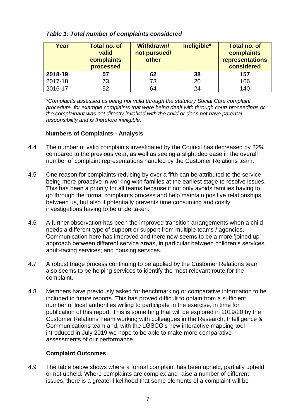| Year    | <b>Total no. of</b><br>valid<br>complaints<br>processed | <b>Withdrawn/</b><br>not pursued/<br>other | Ineligible* | <b>Total no. of</b><br>complaints<br>representations<br>considered |
|---------|---------------------------------------------------------|--------------------------------------------|-------------|--------------------------------------------------------------------|
| 2018-19 | 57                                                      | 62                                         | 38          | 157                                                                |
| 2017-18 | 73                                                      | 73                                         | 20          | 166                                                                |
| 2016-17 | 52                                                      | 64                                         | 24          | 140                                                                |

*Table 1: Total number of complaints considered*

*\*Complaints assessed as being not valid through the statutory Social Care complaint procedure, for example complaints that were being dealt with through court proceedings or the complainant was not directly involved with the child or does not have parental responsibility and is therefore ineligible.*

## **Numbers of Complaints - Analysis**

- 4.4 The number of valid complaints investigated by the Council has decreased by 22% compared to the previous year, as well as seeing a slight decrease in the overall number of complaint representations handled by the Customer Relations team.
- 4.5 One reason for complaints reducing by over a fifth can be attributed to the service being more proactive in working with families at the earliest stage to resolve issues. This has been a priority for all teams because it not only avoids families having to go through the formal complaints process and help maintain positive relationships between us, but also it potentially prevents time consuming and costly investigations having to be undertaken.
- 4.6 A further observation has been the improved transition arrangements when a child needs a different type of support or support from multiple teams / agencies. Communication here has improved and there now seems to be a more 'joined up' approach between different service areas, in particular between children's services, adult-facing services; and housing services.
- 4.7 A robust triage process continuing to be applied by the Customer Relations team also seems to be helping services to identify the most relevant route for the complaint.
- 4.8 Members have previously asked for benchmarking or comparative information to be included in future reports. This has proved difficult to obtain from a sufficient number of local authorities willing to participate in the exercise, in time for publication of this report. This is something that will be explored in 2019/20 by the Customer Relations Team working with colleagues in the Research, Intelligence & Communications team and, with the LGSCO's new interactive mapping tool introduced in July 2019 we hope to be able to make more comparative assessments of our performance.

## **Complaint Outcomes**

4.9 The table below shows where a formal complaint has been upheld, partially upheld or not upheld. Where complaints are complex and raise a number of different issues, there is a greater likelihood that some elements of a complaint will be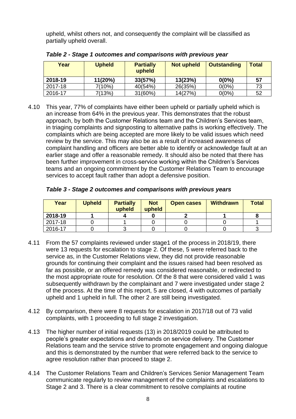upheld, whilst others not, and consequently the complaint will be classified as partially upheld overall.

| Year    | <b>Upheld</b> | <b>Partially</b><br>upheld | <b>Not upheld</b> | <b>Outstanding</b> | <b>Total</b> |
|---------|---------------|----------------------------|-------------------|--------------------|--------------|
| 2018-19 | 11(20%)       | 33(57%)                    | 13(23%)           | $0(0\%)$           | 57           |
| 2017-18 | 7(10%)        | 40(54%)                    | 26(35%)           | $0(0\%)$           | 73           |
| 2016-17 | 7(13%)        | 31(60%)                    | 14(27%)           | $0(0\%)$           | 52           |

*Table 2 - Stage 1 outcomes and comparisons with previous year*

4.10 This year, 77% of complaints have either been upheld or partially upheld which is an increase from 64% in the previous year. This demonstrates that the robust approach, by both the Customer Relations team and the Children's Services team, in triaging complaints and signposting to alternative paths is working effectively. The complaints which are being accepted are more likely to be valid issues which need review by the service. This may also be as a result of increased awareness of complaint handling and officers are better able to identify or acknowledge fault at an earlier stage and offer a reasonable remedy. It should also be noted that there has been further improvement in cross-service working within the Children's Services teams and an ongoing commitment by the Customer Relations Team to encourage services to accept fault rather than adopt a defensive position.

| Table 3 - Stage 2 outcomes and comparisons with previous years |  |  |
|----------------------------------------------------------------|--|--|
|----------------------------------------------------------------|--|--|

| Year    | <b>Upheld</b> | <b>Partially</b><br>upheld | <b>Not</b><br>upheld | <b>Open cases</b> | <b>Withdrawn</b> | <b>Total</b> |
|---------|---------------|----------------------------|----------------------|-------------------|------------------|--------------|
| 2018-19 |               |                            |                      |                   |                  |              |
| 2017-18 |               |                            |                      |                   |                  |              |
| 2016-17 |               |                            |                      |                   |                  |              |

- 4.11 From the 57 complaints reviewed under stage1 of the process in 2018/19, there were 13 requests for escalation to stage 2. Of these, 5 were referred back to the service as, in the Customer Relations view, they did not provide reasonable grounds for continuing their complaint and the issues raised had been resolved as far as possible, or an offered remedy was considered reasonable, or redirected to the most appropriate route for resolution. Of the 8 that were considered valid 1 was subsequently withdrawn by the complainant and 7 were investigated under stage 2 of the process. At the time of this report, 5 are closed, 4 with outcomes of partially upheld and 1 upheld in full. The other 2 are still being investigated.
- 4.12 By comparison, there were 8 requests for escalation in 2017/18 out of 73 valid complaints, with 1 proceeding to full stage 2 investigation.
- 4.13 The higher number of initial requests (13) in 2018/2019 could be attributed to people's greater expectations and demands on service delivery. The Customer Relations team and the service strive to promote engagement and ongoing dialogue and this is demonstrated by the number that were referred back to the service to agree resolution rather than proceed to stage 2.
- 4.14 The Customer Relations Team and Children's Services Senior Management Team communicate regularly to review management of the complaints and escalations to Stage 2 and 3. There is a clear commitment to resolve complaints at routine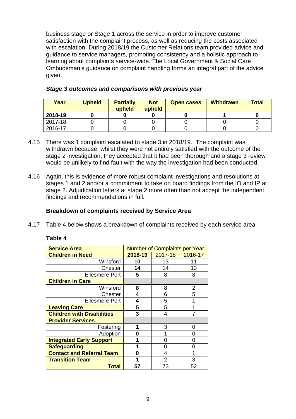business stage or Stage 1 across the service in order to improve customer satisfaction with the complaint process, as well as reducing the costs associated with escalation. During 2018/19 the Customer Relations team provided advice and guidance to service managers, promoting consistency and a holistic approach to learning about complaints service-wide. The Local Government & Social Care Ombudsman's guidance on complaint handling forms an integral part of the advice given.

| Year    | <b>Upheld</b> | <b>Partially</b><br>upheld | <b>Not</b><br>upheld | <b>Open cases</b> | <b>Withdrawn</b> | <b>Total</b> |
|---------|---------------|----------------------------|----------------------|-------------------|------------------|--------------|
| 2018-19 |               |                            |                      |                   |                  |              |
| 2017-18 |               |                            |                      |                   |                  |              |
| 2016-17 |               |                            |                      |                   |                  |              |

#### *Stage 3 outcomes and comparisons with previous year*

- 4.15 There was 1 complaint escalated to stage 3 in 2018/19. The complaint was withdrawn because, whilst they were not entirely satisfied with the outcome of the stage 2 investigation, they accepted that it had been thorough and a stage 3 review would be unlikely to find fault with the way the investigation had been conducted.
- 4.16 Again, this is evidence of more robust complaint investigations and resolutions at stages 1 and 2 and/or a commitment to take on board findings from the IO and IP at stage 2. Adjudication letters at stage 2 more often than not accept the independent findings and recommendations in full.

## **Breakdown of complaints received by Service Area**

4.17 Table 4 below shows a breakdown of complaints received by each service area.

| <b>Table</b> | 4 |
|--------------|---|
|--------------|---|

| <b>Service Area</b>               | <b>Number of Complaints per Year</b> |         |         |
|-----------------------------------|--------------------------------------|---------|---------|
| <b>Children in Need</b>           | 2018-19                              | 2017-18 | 2016-17 |
| Winsford                          | 10                                   | 13      | 11      |
| Chester                           | 14                                   | 14      | 13      |
| <b>Ellesmere Port</b>             | 5                                    | 8       | 8       |
| <b>Children in Care</b>           |                                      |         |         |
| Winsford                          | 8                                    | 8       | 2       |
| Chester                           | 4                                    | 6       | 5       |
| <b>Ellesmere Port</b>             | 4                                    | 5       |         |
| <b>Leaving Care</b>               | 5                                    | 5       |         |
| <b>Children with Disabilities</b> | 3                                    | 4       |         |
| <b>Provider Services</b>          |                                      |         |         |
| Fostering                         | 1                                    | 3       | 0       |
| Adoption                          | 0                                    |         | ი       |
| <b>Integrated Early Support</b>   | 1                                    |         | O       |
| <b>Safeguarding</b>               | 1                                    | O       | O       |
| <b>Contact and Referral Team</b>  | Ω                                    | 4       |         |
| <b>Transition Team</b>            |                                      | 2       | 3       |
| <b>Total</b>                      | 57                                   | 73      | 52      |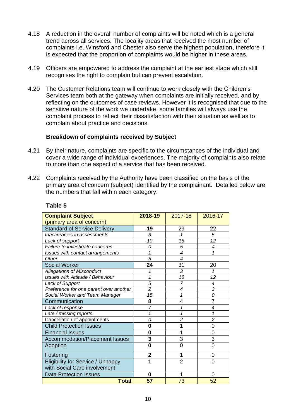- 4.18 A reduction in the overall number of complaints will be noted which is a general trend across all services. The locality areas that received the most number of complaints i.e. Winsford and Chester also serve the highest population, therefore it is expected that the proportion of complaints would be higher in these areas.
- 4.19 Officers are empowered to address the complaint at the earliest stage which still recognises the right to complain but can prevent escalation.
- 4.20 The Customer Relations team will continue to work closely with the Children's Services team both at the gateway when complaints are initially received, and by reflecting on the outcomes of case reviews. However it is recognised that due to the sensitive nature of the work we undertake, some families will always use the complaint process to reflect their dissatisfaction with their situation as well as to complain about practice and decisions.

#### **Breakdown of complaints received by Subject**

- 4.21 By their nature, complaints are specific to the circumstances of the individual and cover a wide range of individual experiences. The majority of complaints also relate to more than one aspect of a service that has been received.
- 4.22 Complaints received by the Authority have been classified on the basis of the primary area of concern (subject) identified by the complainant. Detailed below are the numbers that fall within each category:

| <b>Complaint Subject</b>                 | 2018-19        | 2017-18         | 2016-17                  |
|------------------------------------------|----------------|-----------------|--------------------------|
| (primary area of concern)                |                |                 |                          |
| <b>Standard of Service Delivery</b>      | 19             | 29              | 22                       |
| Inaccuracies in assessments              | 3              | 1               | 5                        |
| Lack of support                          | 10             | 15              | 12                       |
| Failure to investigate concerns          | 0              | 5               | $\overline{\mathcal{A}}$ |
| Issues with contact arrangements         | 1              | 4               | 1                        |
| Other                                    | $\overline{5}$ | 4               |                          |
| <b>Social Worker</b>                     | 24             | 31              | 20                       |
| <b>Allegations of Misconduct</b>         | 1              | 3               | 1                        |
| <b>Issues with Attitude / Behaviour</b>  | 1              | $\overline{16}$ | 12                       |
| Lack of Support                          | 5              | $\overline{7}$  | $\overline{\mathcal{A}}$ |
| Preference for one parent over another   | $\overline{c}$ | 4               | $\overline{3}$           |
| Social Worker and Team Manager           | 15             | 1               | 0                        |
| Communication                            | 8              | 4               | $\overline{7}$           |
| Lack of response                         | $\overline{7}$ | 1               | 4                        |
| Late / missing reports                   | 1              | 1               | 1                        |
| Cancellation of appointments             | 0              | $\overline{c}$  | $\overline{2}$           |
| <b>Child Protection Issues</b>           | 0              |                 | 0                        |
| <b>Financial Issues</b>                  | $\bf{0}$       | 1               | $\overline{0}$           |
| Accommodation/Placement Issues           | 3              | 3               | 3                        |
| Adoption                                 | 0              | 0               | 0                        |
| Fostering                                | $\overline{2}$ | 1               | 0                        |
| <b>Eligibility for Service / Unhappy</b> | 1              | $\overline{2}$  | 0                        |
| with Social Care involvement             |                |                 |                          |
| <b>Data Protection Issues</b>            | 0              | 1               | 0                        |
| <b>Total</b>                             | 57             | 73              | 52                       |

#### **Table 5**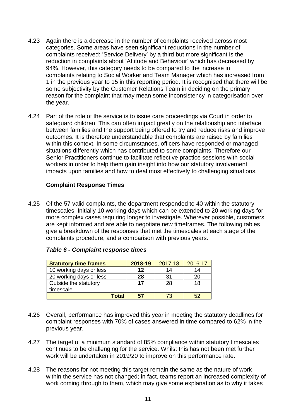- 4.23 Again there is a decrease in the number of complaints received across most categories. Some areas have seen significant reductions in the number of complaints received: 'Service Delivery' by a third but more significant is the reduction in complaints about 'Attitude and Behaviour' which has decreased by 94%. However, this category needs to be compared to the increase in complaints relating to Social Worker and Team Manager which has increased from 1 in the previous year to 15 in this reporting period. It is recognised that there will be some subjectivity by the Customer Relations Team in deciding on the primary reason for the complaint that may mean some inconsistency in categorisation over the year.
- 4.24 Part of the role of the service is to issue care proceedings via Court in order to safeguard children. This can often impact greatly on the relationship and interface between families and the support being offered to try and reduce risks and improve outcomes. It is therefore understandable that complaints are raised by families within this context. In some circumstances, officers have responded or managed situations differently which has contributed to some complaints. Therefore our Senior Practitioners continue to facilitate reflective practice sessions with social workers in order to help them gain insight into how our statutory involvement impacts upon families and how to deal most effectively to challenging situations.

## **Complaint Response Times**

4.25 Of the 57 valid complaints, the department responded to 40 within the statutory timescales. Initially 10 working days which can be extended to 20 working days for more complex cases requiring longer to investigate. Wherever possible, customers are kept informed and are able to negotiate new timeframes. The following tables give a breakdown of the responses that met the timescales at each stage of the complaints procedure, and a comparison with previous years.

| <b>Statutory time frames</b> | 2018-19 | 2017-18 | 2016-17 |
|------------------------------|---------|---------|---------|
| 10 working days or less      | 12      | 14      | 14      |
| 20 working days or less      | 28      | 31      | 20      |
| Outside the statutory        | 17      | 28      | 18      |
| timescale                    |         |         |         |
| <b>Total</b>                 | 57      |         | 52      |

#### *Table 6 - Complaint response times*

- 4.26 Overall, performance has improved this year in meeting the statutory deadlines for complaint responses with 70% of cases answered in time compared to 62% in the previous year.
- 4.27 The target of a minimum standard of 85% compliance within statutory timescales continues to be challenging for the service. Whilst this has not been met further work will be undertaken in 2019/20 to improve on this performance rate.
- 4.28 The reasons for not meeting this target remain the same as the nature of work within the service has not changed; in fact, teams report an increased complexity of work coming through to them, which may give some explanation as to why it takes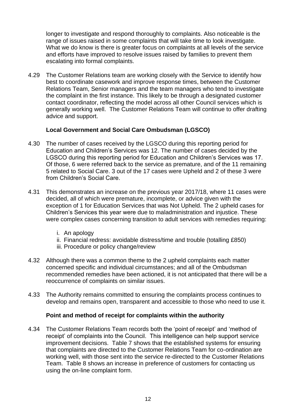longer to investigate and respond thoroughly to complaints. Also noticeable is the range of issues raised in some complaints that will take time to look investigate. What we do know is there is greater focus on complaints at all levels of the service and efforts have improved to resolve issues raised by families to prevent them escalating into formal complaints.

4.29 The Customer Relations team are working closely with the Service to identify how best to coordinate casework and improve response times, between the Customer Relations Team, Senior managers and the team managers who tend to investigate the complaint in the first instance. This likely to be through a designated customer contact coordinator, reflecting the model across all other Council services which is generally working well. The Customer Relations Team will continue to offer drafting advice and support.

#### **Local Government and Social Care Ombudsman (LGSCO)**

- 4.30 The number of cases received by the LGSCO during this reporting period for Education and Children's Services was 12. The number of cases decided by the LGSCO during this reporting period for Education and Children's Services was 17. Of those, 6 were referred back to the service as premature, and of the 11 remaining 5 related to Social Care. 3 out of the 17 cases were Upheld and 2 of these 3 were from Children's Social Care.
- 4.31 This demonstrates an increase on the previous year 2017/18, where 11 cases were decided, all of which were premature, incomplete, or advice given with the exception of 1 for Education Services that was Not Upheld. The 2 upheld cases for Children's Services this year were due to maladministration and injustice. These were complex cases concerning transition to adult services with remedies requiring:
	- i. An apology
	- ii. Financial redress: avoidable distress/time and trouble (totalling £850)
	- iii. Procedure or policy change/review
- 4.32 Although there was a common theme to the 2 upheld complaints each matter concerned specific and individual circumstances; and all of the Ombudsman recommended remedies have been actioned, it is not anticipated that there will be a reoccurrence of complaints on similar issues.
- 4.33 The Authority remains committed to ensuring the complaints process continues to develop and remains open, transparent and accessible to those who need to use it.

#### **Point and method of receipt for complaints within the authority**

4.34 The Customer Relations Team records both the 'point of receipt' and 'method of receipt' of complaints into the Council. This intelligence can help support service improvement decisions. Table 7 shows that the established systems for ensuring that complaints are directed to the Customer Relations Team for co-ordination are working well, with those sent into the service re-directed to the Customer Relations Team. Table 8 shows an increase in preference of customers for contacting us using the on-line complaint form.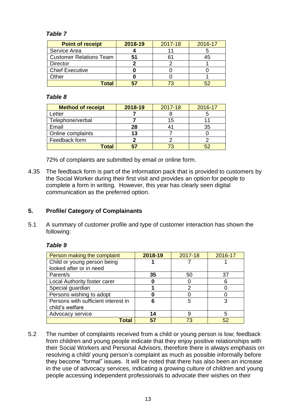## *Table 7*

| <b>Point of receipt</b>        | 2018-19 | 2017-18 | 2016-17 |
|--------------------------------|---------|---------|---------|
| Service Area                   |         |         |         |
| <b>Customer Relations Team</b> | 51      |         |         |
| <b>Director</b>                |         |         |         |
| <b>Chief Executive</b>         |         |         |         |
| Other                          |         |         |         |
| Total                          |         |         |         |

#### *Table 8*

| <b>Method of receipt</b> | 2018-19 | 2017-18 | 2016-17 |
|--------------------------|---------|---------|---------|
| ∟etter                   |         |         |         |
| Telephone/verbal         |         | 15      |         |
| Email                    | 28      |         | 35      |
| Online complaints        | 13      |         |         |
| Feedback form            |         |         |         |
| Total                    |         | 73      |         |

72% of complaints are submitted by email or online form.

4.35 The feedback form is part of the information pack that is provided to customers by the Social Worker during their first visit and provides an option for people to complete a form in writing. However, this year has clearly seen digital communication as the preferred option.

# **5. Profile/ Category of Complainants**

5.1 A summary of customer profile and type of customer interaction has shown the following:

#### *Table 9*

| Person making the complaint         | 2018-19 | 2017-18 | 2016-17 |
|-------------------------------------|---------|---------|---------|
| Child or young person being         |         |         |         |
| looked after or in need             |         |         |         |
| Parent/s                            | 35      | 50      | 37      |
| Local Authority foster carer        |         |         | 6       |
| Special guardian                    |         |         |         |
| Persons wishing to adopt            |         |         |         |
| Persons with sufficient interest in | 6       | 5       | 3       |
| child's welfare                     |         |         |         |
| Advocacy service                    | 14      |         | 5       |
| Гоtal                               | 57      | 73      | 52      |

5.2 The number of complaints received from a child or young person is low; feedback from children and young people indicate that they enjoy positive relationships with their Social Workers and Personal Advisors, therefore there is always emphasis on resolving a child/ young person's complaint as much as possible informally before they become "formal" issues. It will be noted that there has also been an increase in the use of advocacy services, indicating a growing culture of children and young people accessing independent professionals to advocate their wishes on their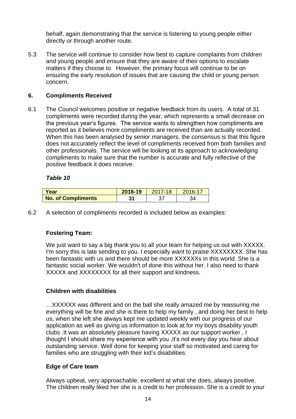behalf, again demonstrating that the service is listening to young people either directly or through another route.

5.3 The service will continue to consider how best to capture complaints from children and young people and ensure that they are aware of their options to escalate matters if they choose to. However, the primary focus will continue to be on ensuring the early resolution of issues that are causing the child or young person concern.

## **6. Compliments Received**

6.1 The Council welcomes positive or negative feedback from its users. A total of 31 compliments were recorded during the year, which represents a small decrease on the previous year's figures. The service wants to strengthen how compliments are reported as it believes more compliments are received than are actually recorded. When this has been analysed by senior managers, the consensus is that this figure does not accurately reflect the level of compliments received from both families and other professionals. The service will be looking at its approach to acknowledging compliments to make sure that the number is accurate and fully reflective of the positive feedback it does receive.

#### *Table 10*

| l Year                    | 2018-19 | $2017 - 18$ | $2016 - 17$ |
|---------------------------|---------|-------------|-------------|
| <b>No. of Compliments</b> | 13      |             |             |

6.2 A selection of compliments recorded is included below as examples:

## **Fostering Team:**

We just want to say a big thank you to all your team for helping us out with XXXXX. I'm sorry this is late sending to you. I especially want to praise XXXXXXXX. She has been fantastic with us and there should be more XXXXXXs in this world. She is a fantastic social worker. We wouldn't of done this without her. I also need to thank XXXXX and XXXXXXXX for all their support and kindness.

#### **Children with disabilities**

…XXXXXX was different and on the ball she really amazed me by reassuring me everything will be fine and she is there to help my family , and doing her best to help us, when she left she always kept me updated weekly with our progress of our application as well as giving us information to look at for my boys disability youth clubs .It was an absolutely pleasure having XXXXX as our support worker , I thought I should share my experience with you ,it's not every day you hear about outstanding service. Well done for keeping your staff so motivated and caring for families who are struggling with their kid's disabilities.

#### **Edge of Care team**

Always upbeat, very approachable, excellent at what she does, always positive. The children really liked her she is a credit to her profession. She is a credit to your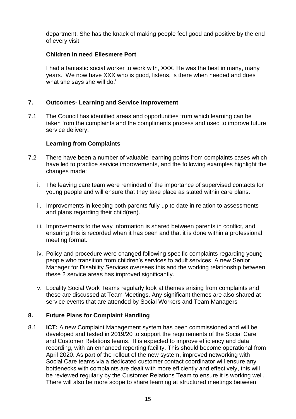department. She has the knack of making people feel good and positive by the end of every visit

## **Children in need Ellesmere Port**

I had a fantastic social worker to work with, XXX. He was the best in many, many years. We now have XXX who is good, listens, is there when needed and does what she says she will do.'

## **7. Outcomes- Learning and Service Improvement**

7.1 The Council has identified areas and opportunities from which learning can be taken from the complaints and the compliments process and used to improve future service delivery.

#### **Learning from Complaints**

- 7.2 There have been a number of valuable learning points from complaints cases which have led to practice service improvements, and the following examples highlight the changes made:
	- i. The leaving care team were reminded of the importance of supervised contacts for young people and will ensure that they take place as stated within care plans.
	- ii. Improvements in keeping both parents fully up to date in relation to assessments and plans regarding their child(ren).
	- iii. Improvements to the way information is shared between parents in conflict, and ensuring this is recorded when it has been and that it is done within a professional meeting format.
	- iv. Policy and procedure were changed following specific complaints regarding young people who transition from children's services to adult services. A new Senior Manager for Disability Services oversees this and the working relationship between these 2 service areas has improved significantly.
	- v. Locality Social Work Teams regularly look at themes arising from complaints and these are discussed at Team Meetings. Any significant themes are also shared at service events that are attended by Social Workers and Team Managers

#### **8. Future Plans for Complaint Handling**

8.1 **ICT:** A new Complaint Management system has been commissioned and will be developed and tested in 2019/20 to support the requirements of the Social Care and Customer Relations teams. It is expected to improve efficiency and data recording, with an enhanced reporting facility. This should become operational from April 2020. As part of the rollout of the new system, improved networking with Social Care teams via a dedicated customer contact coordinator will ensure any bottlenecks with complaints are dealt with more efficiently and effectively, this will be reviewed regularly by the Customer Relations Team to ensure it is working well. There will also be more scope to share learning at structured meetings between